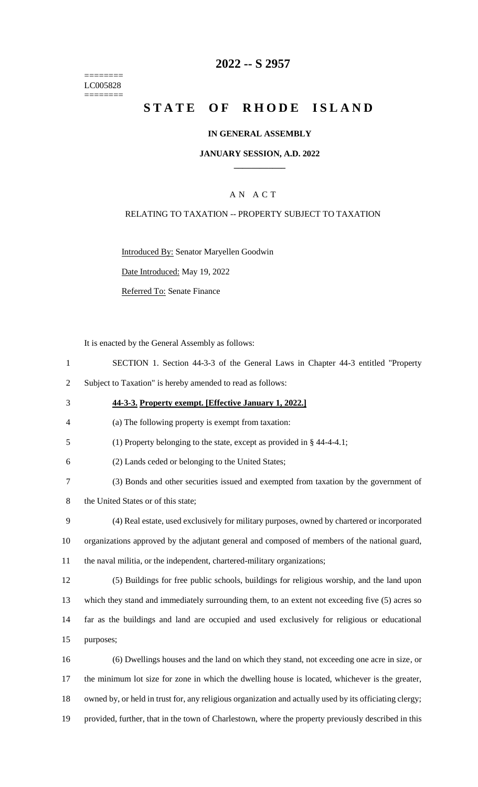======== LC005828 ========

# **2022 -- S 2957**

# **STATE OF RHODE ISLAND**

### **IN GENERAL ASSEMBLY**

### **JANUARY SESSION, A.D. 2022 \_\_\_\_\_\_\_\_\_\_\_\_**

### A N A C T

### RELATING TO TAXATION -- PROPERTY SUBJECT TO TAXATION

Introduced By: Senator Maryellen Goodwin

Date Introduced: May 19, 2022

Referred To: Senate Finance

It is enacted by the General Assembly as follows:

- 1 SECTION 1. Section 44-3-3 of the General Laws in Chapter 44-3 entitled "Property
- 2 Subject to Taxation" is hereby amended to read as follows:
- 3 **44-3-3. Property exempt. [Effective January 1, 2022.]**
- 4 (a) The following property is exempt from taxation:
- 5 (1) Property belonging to the state, except as provided in § 44-4-4.1;
- 6 (2) Lands ceded or belonging to the United States;
- 7 (3) Bonds and other securities issued and exempted from taxation by the government of
- 8 the United States or of this state;
- 9 (4) Real estate, used exclusively for military purposes, owned by chartered or incorporated 10 organizations approved by the adjutant general and composed of members of the national guard, 11 the naval militia, or the independent, chartered-military organizations;
- 12 (5) Buildings for free public schools, buildings for religious worship, and the land upon 13 which they stand and immediately surrounding them, to an extent not exceeding five (5) acres so
- 14 far as the buildings and land are occupied and used exclusively for religious or educational 15 purposes;
- 16 (6) Dwellings houses and the land on which they stand, not exceeding one acre in size, or 17 the minimum lot size for zone in which the dwelling house is located, whichever is the greater, 18 owned by, or held in trust for, any religious organization and actually used by its officiating clergy; 19 provided, further, that in the town of Charlestown, where the property previously described in this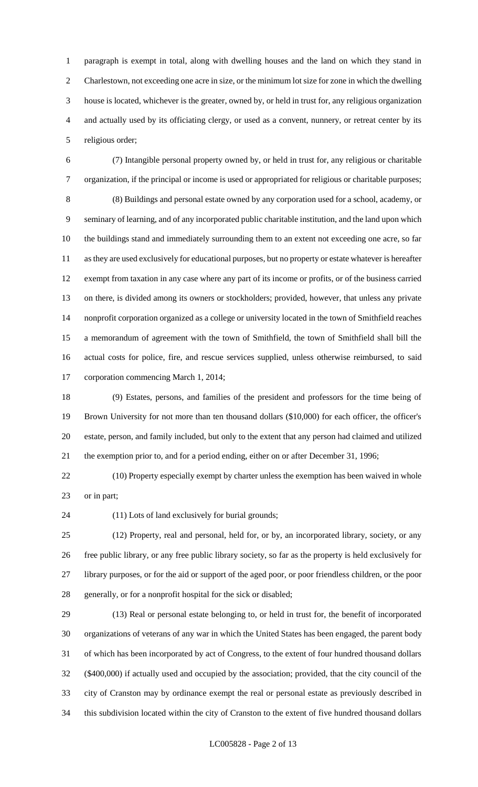paragraph is exempt in total, along with dwelling houses and the land on which they stand in Charlestown, not exceeding one acre in size, or the minimum lot size for zone in which the dwelling house is located, whichever is the greater, owned by, or held in trust for, any religious organization and actually used by its officiating clergy, or used as a convent, nunnery, or retreat center by its religious order;

 (7) Intangible personal property owned by, or held in trust for, any religious or charitable organization, if the principal or income is used or appropriated for religious or charitable purposes; (8) Buildings and personal estate owned by any corporation used for a school, academy, or seminary of learning, and of any incorporated public charitable institution, and the land upon which the buildings stand and immediately surrounding them to an extent not exceeding one acre, so far as they are used exclusively for educational purposes, but no property or estate whatever is hereafter exempt from taxation in any case where any part of its income or profits, or of the business carried on there, is divided among its owners or stockholders; provided, however, that unless any private nonprofit corporation organized as a college or university located in the town of Smithfield reaches a memorandum of agreement with the town of Smithfield, the town of Smithfield shall bill the actual costs for police, fire, and rescue services supplied, unless otherwise reimbursed, to said corporation commencing March 1, 2014;

 (9) Estates, persons, and families of the president and professors for the time being of Brown University for not more than ten thousand dollars (\$10,000) for each officer, the officer's estate, person, and family included, but only to the extent that any person had claimed and utilized the exemption prior to, and for a period ending, either on or after December 31, 1996;

 (10) Property especially exempt by charter unless the exemption has been waived in whole or in part;

(11) Lots of land exclusively for burial grounds;

 (12) Property, real and personal, held for, or by, an incorporated library, society, or any free public library, or any free public library society, so far as the property is held exclusively for library purposes, or for the aid or support of the aged poor, or poor friendless children, or the poor generally, or for a nonprofit hospital for the sick or disabled;

 (13) Real or personal estate belonging to, or held in trust for, the benefit of incorporated organizations of veterans of any war in which the United States has been engaged, the parent body of which has been incorporated by act of Congress, to the extent of four hundred thousand dollars (\$400,000) if actually used and occupied by the association; provided, that the city council of the city of Cranston may by ordinance exempt the real or personal estate as previously described in this subdivision located within the city of Cranston to the extent of five hundred thousand dollars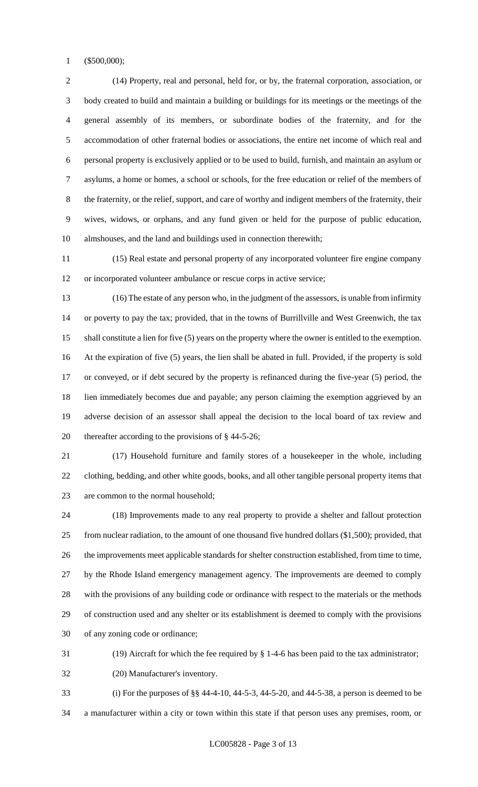(\$500,000);

 (14) Property, real and personal, held for, or by, the fraternal corporation, association, or body created to build and maintain a building or buildings for its meetings or the meetings of the general assembly of its members, or subordinate bodies of the fraternity, and for the accommodation of other fraternal bodies or associations, the entire net income of which real and personal property is exclusively applied or to be used to build, furnish, and maintain an asylum or asylums, a home or homes, a school or schools, for the free education or relief of the members of the fraternity, or the relief, support, and care of worthy and indigent members of the fraternity, their wives, widows, or orphans, and any fund given or held for the purpose of public education, almshouses, and the land and buildings used in connection therewith;

 (15) Real estate and personal property of any incorporated volunteer fire engine company or incorporated volunteer ambulance or rescue corps in active service;

 (16) The estate of any person who, in the judgment of the assessors, is unable from infirmity or poverty to pay the tax; provided, that in the towns of Burrillville and West Greenwich, the tax shall constitute a lien for five (5) years on the property where the owner is entitled to the exemption. At the expiration of five (5) years, the lien shall be abated in full. Provided, if the property is sold or conveyed, or if debt secured by the property is refinanced during the five-year (5) period, the lien immediately becomes due and payable; any person claiming the exemption aggrieved by an adverse decision of an assessor shall appeal the decision to the local board of tax review and thereafter according to the provisions of § 44-5-26;

 (17) Household furniture and family stores of a housekeeper in the whole, including clothing, bedding, and other white goods, books, and all other tangible personal property items that are common to the normal household;

 (18) Improvements made to any real property to provide a shelter and fallout protection from nuclear radiation, to the amount of one thousand five hundred dollars (\$1,500); provided, that the improvements meet applicable standards for shelter construction established, from time to time, by the Rhode Island emergency management agency. The improvements are deemed to comply with the provisions of any building code or ordinance with respect to the materials or the methods of construction used and any shelter or its establishment is deemed to comply with the provisions of any zoning code or ordinance;

(19) Aircraft for which the fee required by § 1-4-6 has been paid to the tax administrator;

(20) Manufacturer's inventory.

 (i) For the purposes of §§ 44-4-10, 44-5-3, 44-5-20, and 44-5-38, a person is deemed to be a manufacturer within a city or town within this state if that person uses any premises, room, or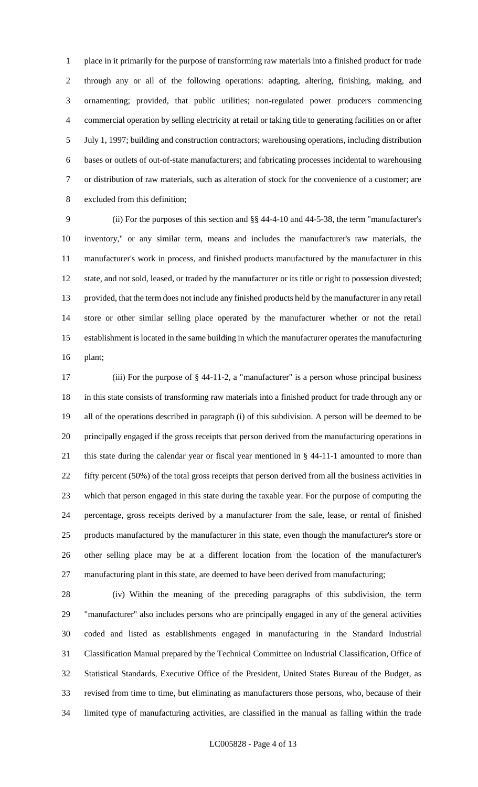place in it primarily for the purpose of transforming raw materials into a finished product for trade through any or all of the following operations: adapting, altering, finishing, making, and ornamenting; provided, that public utilities; non-regulated power producers commencing commercial operation by selling electricity at retail or taking title to generating facilities on or after July 1, 1997; building and construction contractors; warehousing operations, including distribution bases or outlets of out-of-state manufacturers; and fabricating processes incidental to warehousing or distribution of raw materials, such as alteration of stock for the convenience of a customer; are excluded from this definition;

 (ii) For the purposes of this section and §§ 44-4-10 and 44-5-38, the term "manufacturer's inventory," or any similar term, means and includes the manufacturer's raw materials, the manufacturer's work in process, and finished products manufactured by the manufacturer in this state, and not sold, leased, or traded by the manufacturer or its title or right to possession divested; provided, that the term does not include any finished products held by the manufacturer in any retail store or other similar selling place operated by the manufacturer whether or not the retail establishment is located in the same building in which the manufacturer operates the manufacturing plant;

 (iii) For the purpose of § 44-11-2, a "manufacturer" is a person whose principal business in this state consists of transforming raw materials into a finished product for trade through any or all of the operations described in paragraph (i) of this subdivision. A person will be deemed to be principally engaged if the gross receipts that person derived from the manufacturing operations in this state during the calendar year or fiscal year mentioned in § 44-11-1 amounted to more than fifty percent (50%) of the total gross receipts that person derived from all the business activities in which that person engaged in this state during the taxable year. For the purpose of computing the percentage, gross receipts derived by a manufacturer from the sale, lease, or rental of finished products manufactured by the manufacturer in this state, even though the manufacturer's store or other selling place may be at a different location from the location of the manufacturer's manufacturing plant in this state, are deemed to have been derived from manufacturing;

 (iv) Within the meaning of the preceding paragraphs of this subdivision, the term "manufacturer" also includes persons who are principally engaged in any of the general activities coded and listed as establishments engaged in manufacturing in the Standard Industrial Classification Manual prepared by the Technical Committee on Industrial Classification, Office of Statistical Standards, Executive Office of the President, United States Bureau of the Budget, as revised from time to time, but eliminating as manufacturers those persons, who, because of their limited type of manufacturing activities, are classified in the manual as falling within the trade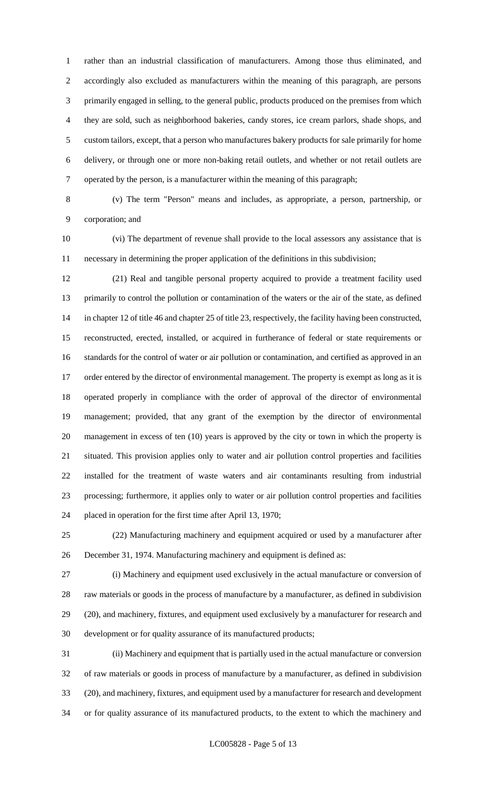rather than an industrial classification of manufacturers. Among those thus eliminated, and accordingly also excluded as manufacturers within the meaning of this paragraph, are persons primarily engaged in selling, to the general public, products produced on the premises from which they are sold, such as neighborhood bakeries, candy stores, ice cream parlors, shade shops, and custom tailors, except, that a person who manufactures bakery products for sale primarily for home delivery, or through one or more non-baking retail outlets, and whether or not retail outlets are operated by the person, is a manufacturer within the meaning of this paragraph;

 (v) The term "Person" means and includes, as appropriate, a person, partnership, or corporation; and

 (vi) The department of revenue shall provide to the local assessors any assistance that is necessary in determining the proper application of the definitions in this subdivision;

 (21) Real and tangible personal property acquired to provide a treatment facility used primarily to control the pollution or contamination of the waters or the air of the state, as defined in chapter 12 of title 46 and chapter 25 of title 23, respectively, the facility having been constructed, reconstructed, erected, installed, or acquired in furtherance of federal or state requirements or standards for the control of water or air pollution or contamination, and certified as approved in an 17 order entered by the director of environmental management. The property is exempt as long as it is operated properly in compliance with the order of approval of the director of environmental management; provided, that any grant of the exemption by the director of environmental management in excess of ten (10) years is approved by the city or town in which the property is situated. This provision applies only to water and air pollution control properties and facilities installed for the treatment of waste waters and air contaminants resulting from industrial processing; furthermore, it applies only to water or air pollution control properties and facilities placed in operation for the first time after April 13, 1970;

 (22) Manufacturing machinery and equipment acquired or used by a manufacturer after December 31, 1974. Manufacturing machinery and equipment is defined as:

 (i) Machinery and equipment used exclusively in the actual manufacture or conversion of raw materials or goods in the process of manufacture by a manufacturer, as defined in subdivision (20), and machinery, fixtures, and equipment used exclusively by a manufacturer for research and development or for quality assurance of its manufactured products;

 (ii) Machinery and equipment that is partially used in the actual manufacture or conversion of raw materials or goods in process of manufacture by a manufacturer, as defined in subdivision (20), and machinery, fixtures, and equipment used by a manufacturer for research and development or for quality assurance of its manufactured products, to the extent to which the machinery and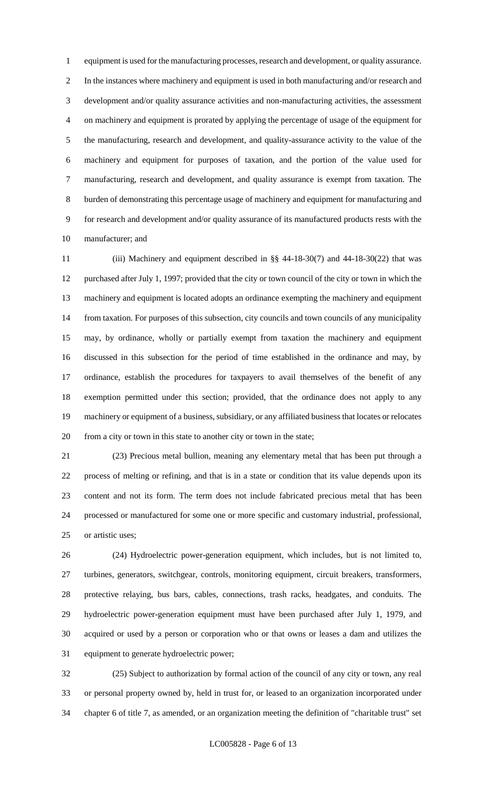equipment is used for the manufacturing processes, research and development, or quality assurance. In the instances where machinery and equipment is used in both manufacturing and/or research and development and/or quality assurance activities and non-manufacturing activities, the assessment on machinery and equipment is prorated by applying the percentage of usage of the equipment for the manufacturing, research and development, and quality-assurance activity to the value of the machinery and equipment for purposes of taxation, and the portion of the value used for manufacturing, research and development, and quality assurance is exempt from taxation. The burden of demonstrating this percentage usage of machinery and equipment for manufacturing and for research and development and/or quality assurance of its manufactured products rests with the manufacturer; and

 (iii) Machinery and equipment described in §§ 44-18-30(7) and 44-18-30(22) that was purchased after July 1, 1997; provided that the city or town council of the city or town in which the machinery and equipment is located adopts an ordinance exempting the machinery and equipment from taxation. For purposes of this subsection, city councils and town councils of any municipality may, by ordinance, wholly or partially exempt from taxation the machinery and equipment discussed in this subsection for the period of time established in the ordinance and may, by ordinance, establish the procedures for taxpayers to avail themselves of the benefit of any exemption permitted under this section; provided, that the ordinance does not apply to any machinery or equipment of a business, subsidiary, or any affiliated business that locates or relocates from a city or town in this state to another city or town in the state;

 (23) Precious metal bullion, meaning any elementary metal that has been put through a process of melting or refining, and that is in a state or condition that its value depends upon its content and not its form. The term does not include fabricated precious metal that has been processed or manufactured for some one or more specific and customary industrial, professional, or artistic uses;

 (24) Hydroelectric power-generation equipment, which includes, but is not limited to, turbines, generators, switchgear, controls, monitoring equipment, circuit breakers, transformers, protective relaying, bus bars, cables, connections, trash racks, headgates, and conduits. The hydroelectric power-generation equipment must have been purchased after July 1, 1979, and acquired or used by a person or corporation who or that owns or leases a dam and utilizes the equipment to generate hydroelectric power;

 (25) Subject to authorization by formal action of the council of any city or town, any real or personal property owned by, held in trust for, or leased to an organization incorporated under chapter 6 of title 7, as amended, or an organization meeting the definition of "charitable trust" set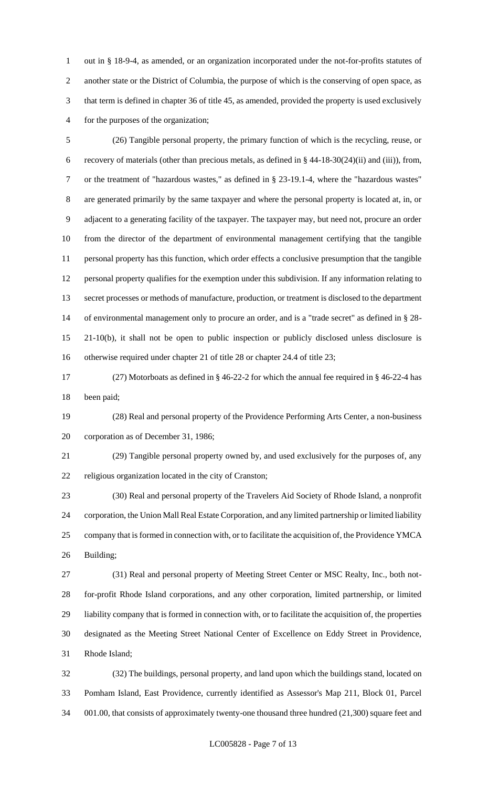out in § 18-9-4, as amended, or an organization incorporated under the not-for-profits statutes of another state or the District of Columbia, the purpose of which is the conserving of open space, as that term is defined in chapter 36 of title 45, as amended, provided the property is used exclusively for the purposes of the organization;

 (26) Tangible personal property, the primary function of which is the recycling, reuse, or recovery of materials (other than precious metals, as defined in § 44-18-30(24)(ii) and (iii)), from, or the treatment of "hazardous wastes," as defined in § 23-19.1-4, where the "hazardous wastes" are generated primarily by the same taxpayer and where the personal property is located at, in, or adjacent to a generating facility of the taxpayer. The taxpayer may, but need not, procure an order from the director of the department of environmental management certifying that the tangible personal property has this function, which order effects a conclusive presumption that the tangible personal property qualifies for the exemption under this subdivision. If any information relating to secret processes or methods of manufacture, production, or treatment is disclosed to the department of environmental management only to procure an order, and is a "trade secret" as defined in § 28- 21-10(b), it shall not be open to public inspection or publicly disclosed unless disclosure is otherwise required under chapter 21 of title 28 or chapter 24.4 of title 23;

 (27) Motorboats as defined in § 46-22-2 for which the annual fee required in § 46-22-4 has been paid;

 (28) Real and personal property of the Providence Performing Arts Center, a non-business corporation as of December 31, 1986;

 (29) Tangible personal property owned by, and used exclusively for the purposes of, any religious organization located in the city of Cranston;

 (30) Real and personal property of the Travelers Aid Society of Rhode Island, a nonprofit corporation, the Union Mall Real Estate Corporation, and any limited partnership or limited liability company that is formed in connection with, or to facilitate the acquisition of, the Providence YMCA Building;

 (31) Real and personal property of Meeting Street Center or MSC Realty, Inc., both not- for-profit Rhode Island corporations, and any other corporation, limited partnership, or limited liability company that is formed in connection with, or to facilitate the acquisition of, the properties designated as the Meeting Street National Center of Excellence on Eddy Street in Providence, Rhode Island;

 (32) The buildings, personal property, and land upon which the buildings stand, located on Pomham Island, East Providence, currently identified as Assessor's Map 211, Block 01, Parcel 001.00, that consists of approximately twenty-one thousand three hundred (21,300) square feet and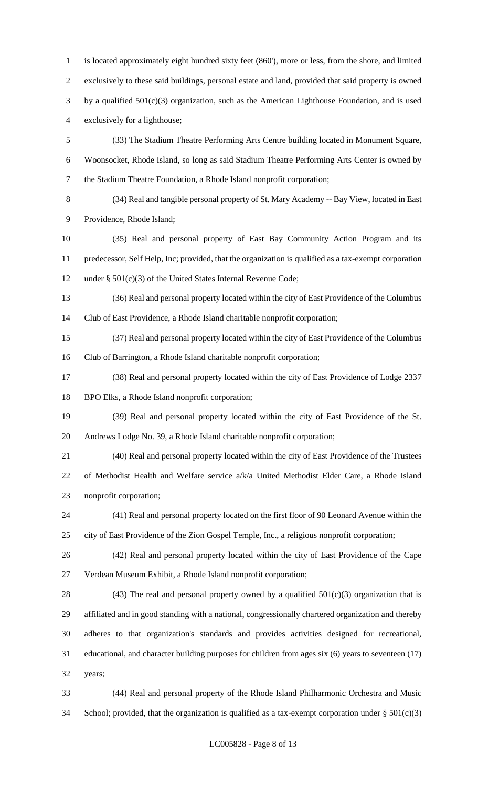is located approximately eight hundred sixty feet (860'), more or less, from the shore, and limited exclusively to these said buildings, personal estate and land, provided that said property is owned by a qualified 501(c)(3) organization, such as the American Lighthouse Foundation, and is used exclusively for a lighthouse; (33) The Stadium Theatre Performing Arts Centre building located in Monument Square, Woonsocket, Rhode Island, so long as said Stadium Theatre Performing Arts Center is owned by the Stadium Theatre Foundation, a Rhode Island nonprofit corporation;

 (34) Real and tangible personal property of St. Mary Academy -- Bay View, located in East Providence, Rhode Island;

 (35) Real and personal property of East Bay Community Action Program and its predecessor, Self Help, Inc; provided, that the organization is qualified as a tax-exempt corporation under § 501(c)(3) of the United States Internal Revenue Code;

 (36) Real and personal property located within the city of East Providence of the Columbus Club of East Providence, a Rhode Island charitable nonprofit corporation;

 (37) Real and personal property located within the city of East Providence of the Columbus Club of Barrington, a Rhode Island charitable nonprofit corporation;

 (38) Real and personal property located within the city of East Providence of Lodge 2337 BPO Elks, a Rhode Island nonprofit corporation;

 (39) Real and personal property located within the city of East Providence of the St. Andrews Lodge No. 39, a Rhode Island charitable nonprofit corporation;

 (40) Real and personal property located within the city of East Providence of the Trustees of Methodist Health and Welfare service a/k/a United Methodist Elder Care, a Rhode Island nonprofit corporation;

 (41) Real and personal property located on the first floor of 90 Leonard Avenue within the city of East Providence of the Zion Gospel Temple, Inc., a religious nonprofit corporation;

 (42) Real and personal property located within the city of East Providence of the Cape Verdean Museum Exhibit, a Rhode Island nonprofit corporation;

28 (43) The real and personal property owned by a qualified  $501(c)(3)$  organization that is affiliated and in good standing with a national, congressionally chartered organization and thereby adheres to that organization's standards and provides activities designed for recreational, educational, and character building purposes for children from ages six (6) years to seventeen (17) years;

 (44) Real and personal property of the Rhode Island Philharmonic Orchestra and Music 34 School; provided, that the organization is qualified as a tax-exempt corporation under  $\S 501(c)(3)$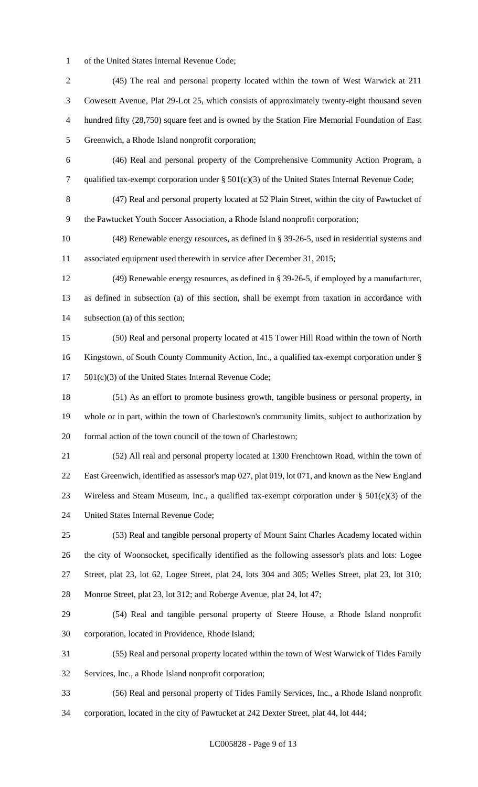of the United States Internal Revenue Code;

 (45) The real and personal property located within the town of West Warwick at 211 Cowesett Avenue, Plat 29-Lot 25, which consists of approximately twenty-eight thousand seven hundred fifty (28,750) square feet and is owned by the Station Fire Memorial Foundation of East Greenwich, a Rhode Island nonprofit corporation; (46) Real and personal property of the Comprehensive Community Action Program, a qualified tax-exempt corporation under § 501(c)(3) of the United States Internal Revenue Code; (47) Real and personal property located at 52 Plain Street, within the city of Pawtucket of the Pawtucket Youth Soccer Association, a Rhode Island nonprofit corporation; (48) Renewable energy resources, as defined in § 39-26-5, used in residential systems and associated equipment used therewith in service after December 31, 2015; (49) Renewable energy resources, as defined in § 39-26-5, if employed by a manufacturer, as defined in subsection (a) of this section, shall be exempt from taxation in accordance with subsection (a) of this section; (50) Real and personal property located at 415 Tower Hill Road within the town of North Kingstown, of South County Community Action, Inc., a qualified tax-exempt corporation under § 501(c)(3) of the United States Internal Revenue Code; (51) As an effort to promote business growth, tangible business or personal property, in whole or in part, within the town of Charlestown's community limits, subject to authorization by formal action of the town council of the town of Charlestown; (52) All real and personal property located at 1300 Frenchtown Road, within the town of East Greenwich, identified as assessor's map 027, plat 019, lot 071, and known as the New England 23 Wireless and Steam Museum, Inc., a qualified tax-exempt corporation under  $\S 501(c)(3)$  of the United States Internal Revenue Code; (53) Real and tangible personal property of Mount Saint Charles Academy located within the city of Woonsocket, specifically identified as the following assessor's plats and lots: Logee Street, plat 23, lot 62, Logee Street, plat 24, lots 304 and 305; Welles Street, plat 23, lot 310; Monroe Street, plat 23, lot 312; and Roberge Avenue, plat 24, lot 47; (54) Real and tangible personal property of Steere House, a Rhode Island nonprofit corporation, located in Providence, Rhode Island; (55) Real and personal property located within the town of West Warwick of Tides Family Services, Inc., a Rhode Island nonprofit corporation; (56) Real and personal property of Tides Family Services, Inc., a Rhode Island nonprofit

corporation, located in the city of Pawtucket at 242 Dexter Street, plat 44, lot 444;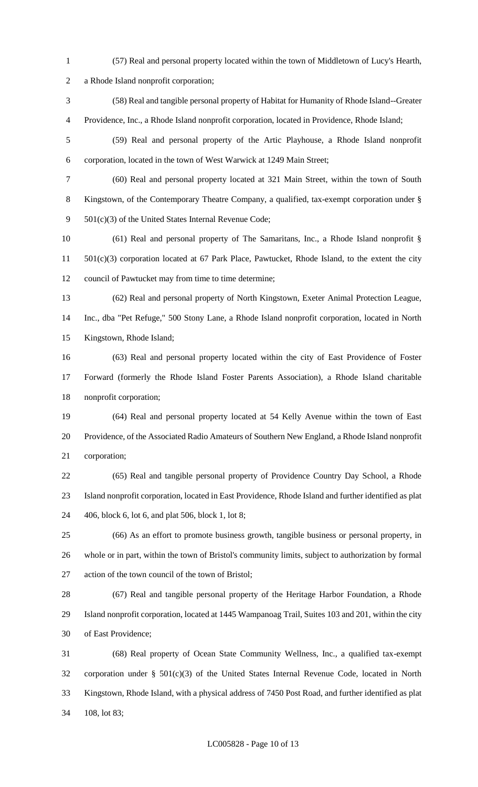- (57) Real and personal property located within the town of Middletown of Lucy's Hearth, a Rhode Island nonprofit corporation; (58) Real and tangible personal property of Habitat for Humanity of Rhode Island--Greater
- Providence, Inc., a Rhode Island nonprofit corporation, located in Providence, Rhode Island;
- (59) Real and personal property of the Artic Playhouse, a Rhode Island nonprofit corporation, located in the town of West Warwick at 1249 Main Street;
- (60) Real and personal property located at 321 Main Street, within the town of South Kingstown, of the Contemporary Theatre Company, a qualified, tax-exempt corporation under § 501(c)(3) of the United States Internal Revenue Code;

 (61) Real and personal property of The Samaritans, Inc., a Rhode Island nonprofit § 501(c)(3) corporation located at 67 Park Place, Pawtucket, Rhode Island, to the extent the city council of Pawtucket may from time to time determine;

- (62) Real and personal property of North Kingstown, Exeter Animal Protection League, Inc., dba "Pet Refuge," 500 Stony Lane, a Rhode Island nonprofit corporation, located in North Kingstown, Rhode Island;
- (63) Real and personal property located within the city of East Providence of Foster Forward (formerly the Rhode Island Foster Parents Association), a Rhode Island charitable nonprofit corporation;

 (64) Real and personal property located at 54 Kelly Avenue within the town of East Providence, of the Associated Radio Amateurs of Southern New England, a Rhode Island nonprofit corporation;

- (65) Real and tangible personal property of Providence Country Day School, a Rhode Island nonprofit corporation, located in East Providence, Rhode Island and further identified as plat 406, block 6, lot 6, and plat 506, block 1, lot 8;
- (66) As an effort to promote business growth, tangible business or personal property, in whole or in part, within the town of Bristol's community limits, subject to authorization by formal action of the town council of the town of Bristol;

 (67) Real and tangible personal property of the Heritage Harbor Foundation, a Rhode Island nonprofit corporation, located at 1445 Wampanoag Trail, Suites 103 and 201, within the city of East Providence;

 (68) Real property of Ocean State Community Wellness, Inc., a qualified tax-exempt corporation under § 501(c)(3) of the United States Internal Revenue Code, located in North Kingstown, Rhode Island, with a physical address of 7450 Post Road, and further identified as plat 108, lot 83;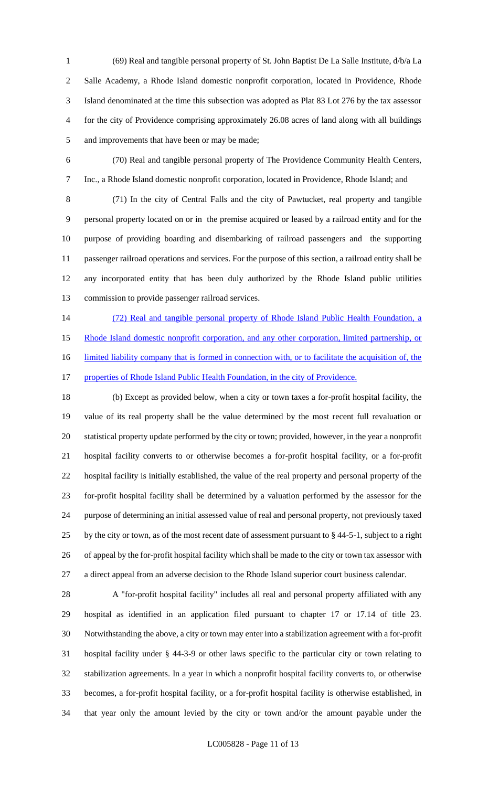(69) Real and tangible personal property of St. John Baptist De La Salle Institute, d/b/a La Salle Academy, a Rhode Island domestic nonprofit corporation, located in Providence, Rhode Island denominated at the time this subsection was adopted as Plat 83 Lot 276 by the tax assessor for the city of Providence comprising approximately 26.08 acres of land along with all buildings and improvements that have been or may be made;

 (70) Real and tangible personal property of The Providence Community Health Centers, Inc., a Rhode Island domestic nonprofit corporation, located in Providence, Rhode Island; and

 (71) In the city of Central Falls and the city of Pawtucket, real property and tangible personal property located on or in the premise acquired or leased by a railroad entity and for the purpose of providing boarding and disembarking of railroad passengers and the supporting passenger railroad operations and services. For the purpose of this section, a railroad entity shall be any incorporated entity that has been duly authorized by the Rhode Island public utilities commission to provide passenger railroad services.

 (72) Real and tangible personal property of Rhode Island Public Health Foundation, a 15 Rhode Island domestic nonprofit corporation, and any other corporation, limited partnership, or 16 limited liability company that is formed in connection with, or to facilitate the acquisition of, the 17 properties of Rhode Island Public Health Foundation, in the city of Providence.

 (b) Except as provided below, when a city or town taxes a for-profit hospital facility, the value of its real property shall be the value determined by the most recent full revaluation or statistical property update performed by the city or town; provided, however, in the year a nonprofit hospital facility converts to or otherwise becomes a for-profit hospital facility, or a for-profit hospital facility is initially established, the value of the real property and personal property of the for-profit hospital facility shall be determined by a valuation performed by the assessor for the purpose of determining an initial assessed value of real and personal property, not previously taxed by the city or town, as of the most recent date of assessment pursuant to § 44-5-1, subject to a right of appeal by the for-profit hospital facility which shall be made to the city or town tax assessor with a direct appeal from an adverse decision to the Rhode Island superior court business calendar.

 A "for-profit hospital facility" includes all real and personal property affiliated with any hospital as identified in an application filed pursuant to chapter 17 or 17.14 of title 23. Notwithstanding the above, a city or town may enter into a stabilization agreement with a for-profit hospital facility under § 44-3-9 or other laws specific to the particular city or town relating to stabilization agreements. In a year in which a nonprofit hospital facility converts to, or otherwise becomes, a for-profit hospital facility, or a for-profit hospital facility is otherwise established, in that year only the amount levied by the city or town and/or the amount payable under the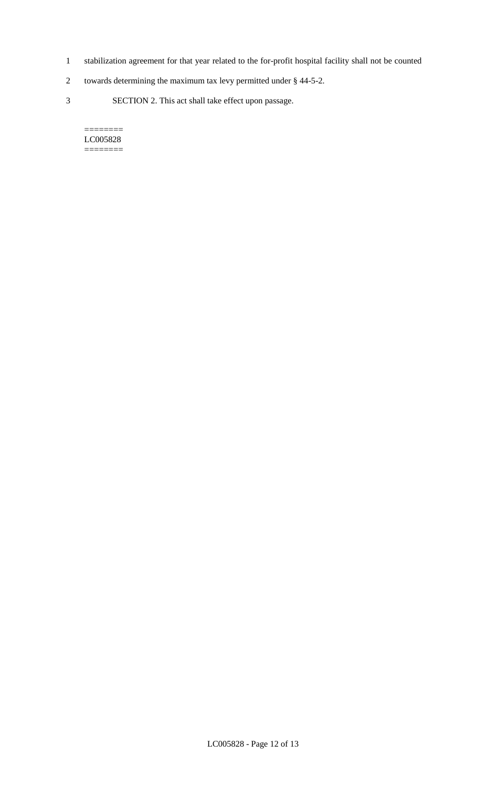- 1 stabilization agreement for that year related to the for-profit hospital facility shall not be counted
- 2 towards determining the maximum tax levy permitted under § 44-5-2.
- 3 SECTION 2. This act shall take effect upon passage.

#### $=$ LC005828 ========